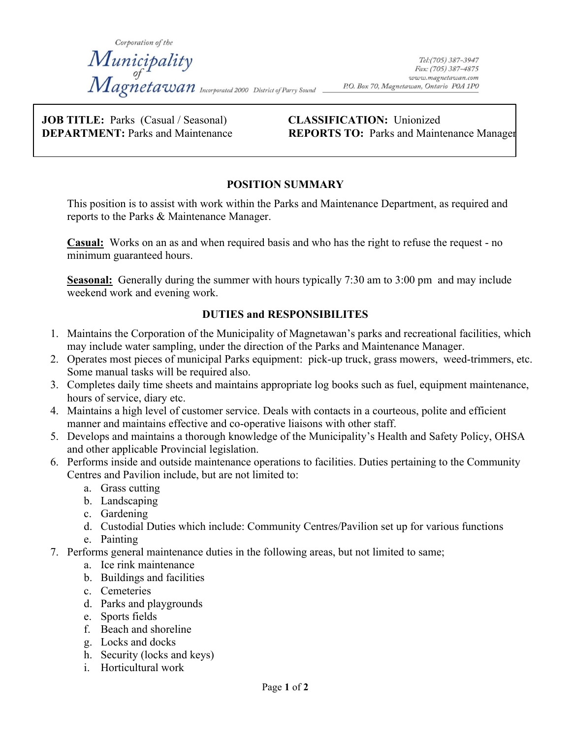Corporation of the Municipality<br>Magnetawan <sub>Incorporated 2000</sub> District of Parry Sound \_

**JOB TITLE:** Parks (Casual / Seasonal) **CLASSIFICATION:** Unionized

**DEPARTMENT:** Parks and Maintenance **REPORTS TO:** Parks and Maintenance Manager

# **POSITION SUMMARY**

This position is to assist with work within the Parks and Maintenance Department, as required and reports to the Parks & Maintenance Manager.

**Casual:** Works on an as and when required basis and who has the right to refuse the request - no minimum guaranteed hours.

**Seasonal:** Generally during the summer with hours typically 7:30 am to 3:00 pm and may include weekend work and evening work.

# **DUTIES and RESPONSIBILITES**

- 1. Maintains the Corporation of the Municipality of Magnetawan's parks and recreational facilities, which may include water sampling, under the direction of the Parks and Maintenance Manager.
- 2. Operates most pieces of municipal Parks equipment: pick-up truck, grass mowers, weed-trimmers, etc. Some manual tasks will be required also.
- 3. Completes daily time sheets and maintains appropriate log books such as fuel, equipment maintenance, hours of service, diary etc.
- 4. Maintains a high level of customer service. Deals with contacts in a courteous, polite and efficient manner and maintains effective and co-operative liaisons with other staff.
- 5. Develops and maintains a thorough knowledge of the Municipality's Health and Safety Policy, OHSA and other applicable Provincial legislation.
- 6. Performs inside and outside maintenance operations to facilities. Duties pertaining to the Community Centres and Pavilion include, but are not limited to:
	- a. Grass cutting
	- b. Landscaping
	- c. Gardening
	- d. Custodial Duties which include: Community Centres/Pavilion set up for various functions
	- e. Painting
- 7. Performs general maintenance duties in the following areas, but not limited to same;
	- a. Ice rink maintenance
	- b. Buildings and facilities
	- c. Cemeteries
	- d. Parks and playgrounds
	- e. Sports fields
	- f. Beach and shoreline
	- g. Locks and docks
	- h. Security (locks and keys)
	- i. Horticultural work